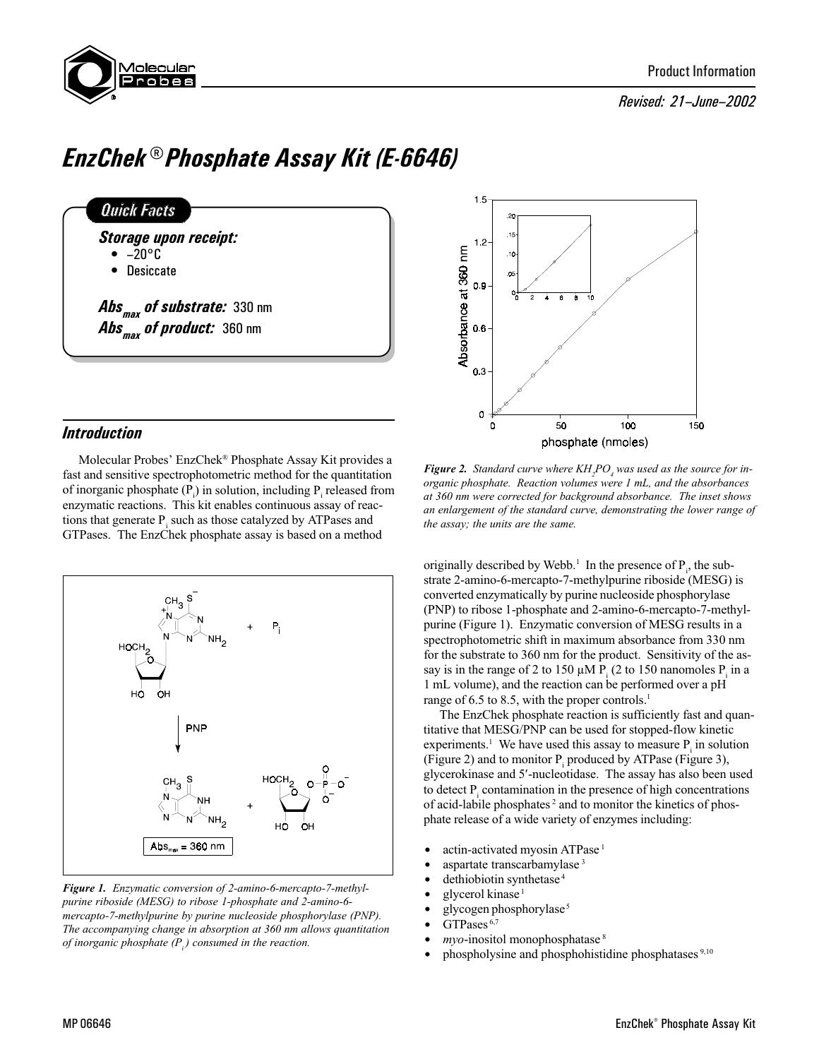

## Revised: 21-June-2002

# EnzChek® Phosphate Assay Kit (E-6646)





Molecular Probes' EnzChek® Phosphate Assay Kit provides a fast and sensitive spectrophotometric method for the quantitation of inorganic phosphate  $(P_i)$  in solution, including  $P_i$  released from enzymatic reactions. This kit enables continuous assay of reactions that generate  $P_i$  such as those catalyzed by ATPases and GTPases. The EnzChek phosphate assay is based on a method



Figure 1. Enzymatic conversion of 2-amino-6-mercapto-7-methylpurine riboside (MESG) to ribose 1-phosphate and 2-amino-6 mercapto-7-methylpurine by purine nucleoside phosphorylase (PNP). The accompanying change in absorption at 360 nm allows quantitation of inorganic phosphate  $(P_i)$  consumed in the reaction.



**Figure 2.** Standard curve where  $KH_{2}PO_{4}$  was used as the source for inorganic phosphate. Reaction volumes were 1 mL, and the absorbances at 360 nm were corrected for background absorbance. The inset shows an enlargement of the standard curve, demonstrating the lower range of the assay; the units are the same.

originally described by Webb.<sup>1</sup> In the presence of  $P_i$ , the substrate 2-amino-6-mercapto-7-methylpurine riboside (MESG) is converted enzymatically by purine nucleoside phosphorylase (PNP) to ribose 1-phosphate and 2-amino-6-mercapto-7-methylpurine (Figure 1). Enzymatic conversion of MESG results in a spectrophotometric shift in maximum absorbance from 330 nm for the substrate to 360 nm for the product. Sensitivity of the assay is in the range of 2 to 150  $\mu$ M P<sub>i</sub> (2 to 150 nanomoles P<sub>i</sub> in a 1 mL volume), and the reaction can be performed over a pH range of 6.5 to 8.5, with the proper controls.<sup>1</sup>

The EnzChek phosphate reaction is sufficiently fast and quantitative that MESG/PNP can be used for stopped-flow kinetic experiments.<sup>1</sup> We have used this assay to measure  $P_i$  in solution (Figure 2) and to monitor  $P_i$  produced by ATPase (Figure 3), glycerokinase and 5¢-nucleotidase. The assay has also been used to detect  $P_i$  contamination in the presence of high concentrations of acid-labile phosphates 2 and to monitor the kinetics of phosphate release of a wide variety of enzymes including:

- $\bullet$  actin-activated myosin ATPase<sup>1</sup>
- aspartate transcarbamylase<sup>3</sup>
- dethiobiotin synthetase<sup>4</sup>
- $glycero1$  kinase<sup>1</sup>
- $\bullet$  glycogen phosphorylase<sup>5</sup>
- $\bullet$  GTPases<sup>6,7</sup>
- $m\gamma$ *o*-inositol monophosphatase<sup>8</sup>
- phospholysine and phosphohistidine phosphatases <sup>9,10</sup>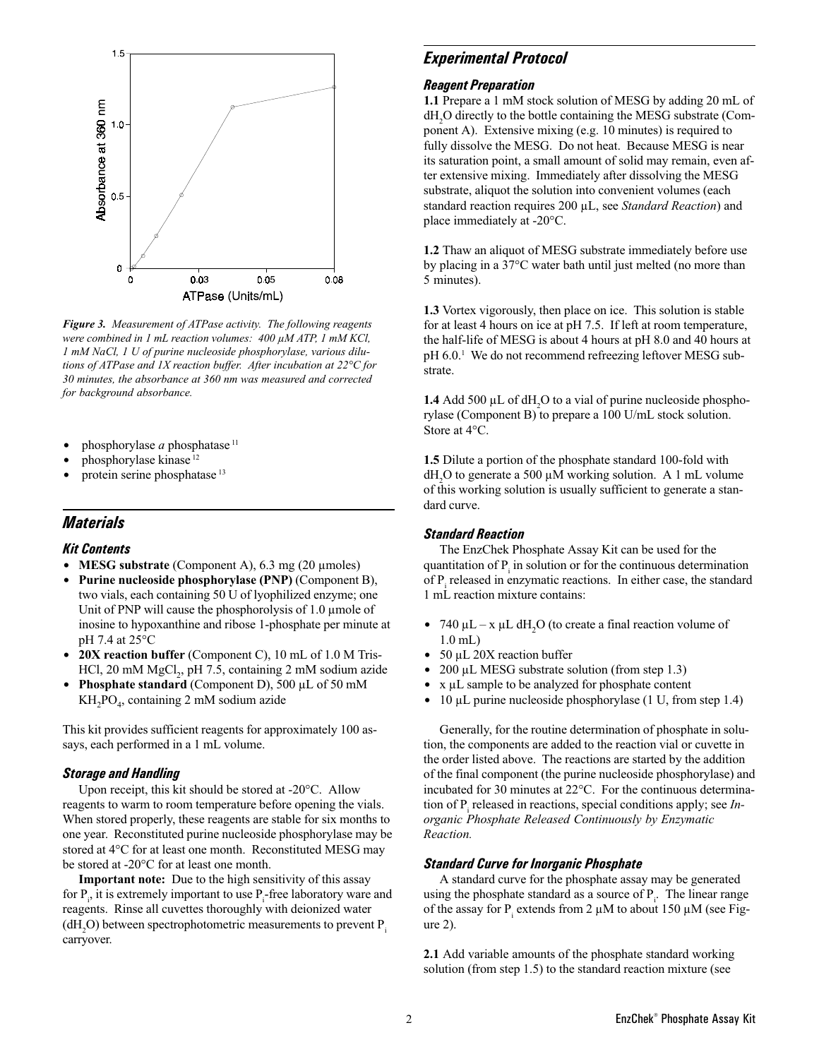

Figure 3. Measurement of ATPase activity. The following reagents were combined in 1 mL reaction volumes:  $400 \mu$ M ATP, 1 mM KCl, 1 mM NaCl, 1 U of purine nucleoside phosphorylase, various dilutions of ATPase and 1X reaction buffer. After incubation at  $22^{\circ}$ C for 30 minutes, the absorbance at 360 nm was measured and corrected for background absorbance.

- phosphorylase a phosphatase  $11$
- phosphorylase kinase<sup>12</sup>
- protein serine phosphatase <sup>13</sup>

## **Materials**

#### Kit Contents

- MESG substrate (Component A),  $6.3 \text{ mg } (20 \text{ \mu moles})$
- Purine nucleoside phosphorylase (PNP) (Component B), two vials, each containing 50 U of lyophilized enzyme; one Unit of PNP will cause the phosphorolysis of  $1.0 \mu$  mole of inosine to hypoxanthine and ribose 1-phosphate per minute at pH 7.4 at 25°C
- $20X$  reaction buffer (Component C), 10 mL of 1.0 M Tris-HCl, 20 mM  $MgCl_2$ , pH 7.5, containing 2 mM sodium azide
- **Phosphate standard** (Component D), 500  $\mu$ L of 50 mM KH<sub>2</sub>PO<sub>4</sub>, containing 2 mM sodium azide

This kit provides sufficient reagents for approximately 100 assays, each performed in a 1 mL volume.

#### Storage and Handling

Upon receipt, this kit should be stored at -20°C. Allow reagents to warm to room temperature before opening the vials. When stored properly, these reagents are stable for six months to one year. Reconstituted purine nucleoside phosphorylase may be stored at 4°C for at least one month. Reconstituted MESG may be stored at -20°C for at least one month.

Important note: Due to the high sensitivity of this assay for  $P_i$ , it is extremely important to use  $P_i$ -free laboratory ware and reagents. Rinse all cuvettes thoroughly with deionized water  $(dH_2O)$  between spectrophotometric measurements to prevent  $P_i$ carryover.

## Experimental Protocol

#### Reagent Preparation

1.1 Prepare a 1 mM stock solution of MESG by adding 20 mL of dH2 O directly to the bottle containing the MESG substrate (Component A). Extensive mixing (e.g. 10 minutes) is required to fully dissolve the MESG. Do not heat. Because MESG is near its saturation point, a small amount of solid may remain, even after extensive mixing. Immediately after dissolving the MESG substrate, aliquot the solution into convenient volumes (each standard reaction requires 200 µL, see Standard Reaction) and place immediately at -20°C.

1.2 Thaw an aliquot of MESG substrate immediately before use by placing in a 37°C water bath until just melted (no more than 5 minutes).

1.3 Vortex vigorously, then place on ice. This solution is stable for at least 4 hours on ice at pH 7.5. If left at room temperature, the half-life of MESG is about 4 hours at pH 8.0 and 40 hours at pH 6.0.<sup>1</sup> We do not recommend refreezing leftover MESG substrate.

**1.4** Add 500  $\mu$ L of dH<sub>2</sub>O to a vial of purine nucleoside phosphorylase (Component B) to prepare a 100 U/mL stock solution. Store at 4°C.

1.5 Dilute a portion of the phosphate standard 100-fold with  $dH_2O$  to generate a 500  $\mu$ M working solution. A 1 mL volume of this working solution is usually sufficient to generate a standard curve.

#### Standard Reaction

The EnzChek Phosphate Assay Kit can be used for the quantitation of  $P_i$  in solution or for the continuous determination of  $P_i$  released in enzymatic reactions. In either case, the standard 1 mL reaction mixture contains:

- 740  $\mu$ L x  $\mu$ L dH<sub>2</sub>O (to create a final reaction volume of 1.0 mL)
- $\cdot$  50 µL 20X reaction buffer
- $\bullet$  200 µL MESG substrate solution (from step 1.3)
- $\bullet$  x  $\mu$ L sample to be analyzed for phosphate content
- $\bullet$  10 µL purine nucleoside phosphorylase (1 U, from step 1.4)

Generally, for the routine determination of phosphate in solution, the components are added to the reaction vial or cuvette in the order listed above. The reactions are started by the addition of the final component (the purine nucleoside phosphorylase) and incubated for 30 minutes at 22°C. For the continuous determination of  $P_i$  released in reactions, special conditions apply; see *In*organic Phosphate Released Continuously by Enzymatic Reaction.

#### Standard Curve for Inorganic Phosphate

A standard curve for the phosphate assay may be generated using the phosphate standard as a source of  $P_i$ . The linear range of the assay for  $P_i$  extends from 2  $\mu$ M to about 150  $\mu$ M (see Figure 2).

2.1 Add variable amounts of the phosphate standard working solution (from step 1.5) to the standard reaction mixture (see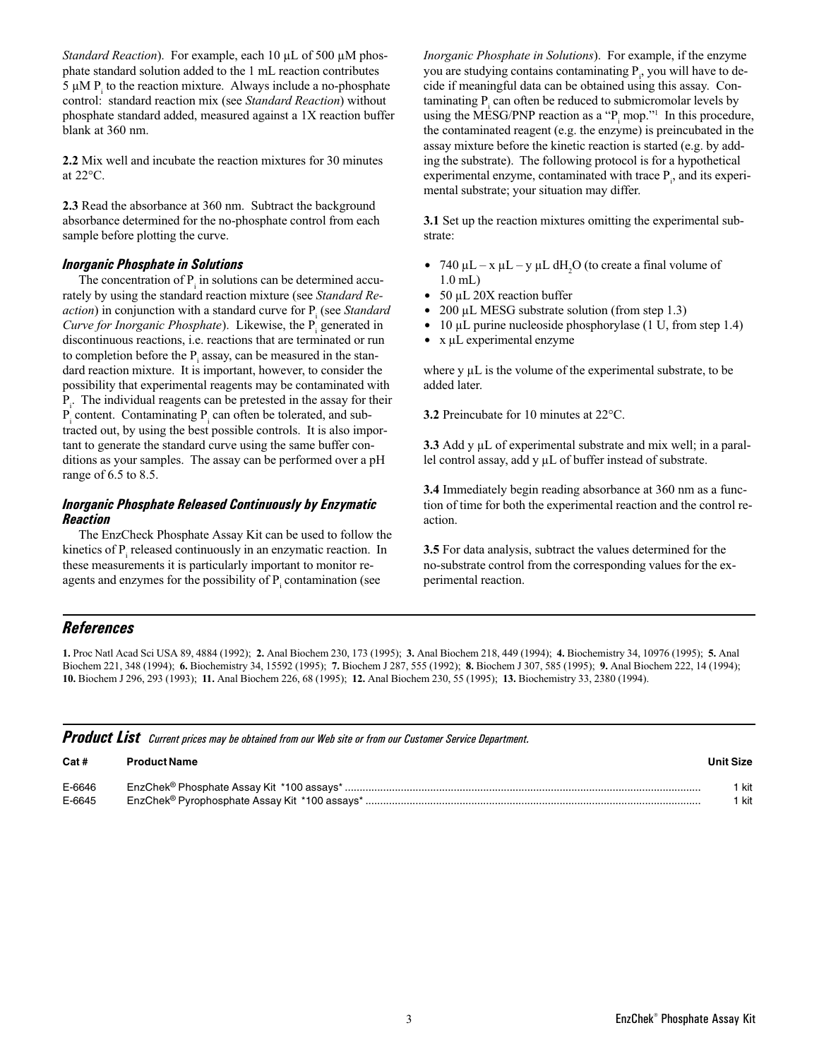Standard Reaction). For example, each 10  $\mu$ L of 500  $\mu$ M phosphate standard solution added to the 1 mL reaction contributes  $5 \mu M$  P<sub>i</sub> to the reaction mixture. Always include a no-phosphate control: standard reaction mix (see Standard Reaction) without phosphate standard added, measured against a 1X reaction buffer blank at 360 nm.

2.2 Mix well and incubate the reaction mixtures for 30 minutes at 22°C.

2.3 Read the absorbance at 360 nm. Subtract the background absorbance determined for the no-phosphate control from each sample before plotting the curve.

### Inorganic Phosphate in Solutions

The concentration of  $P_i$  in solutions can be determined accurately by using the standard reaction mixture (see Standard Re*action*) in conjunction with a standard curve for  $P_i$  (see *Standard* Curve for Inorganic Phosphate). Likewise, the  $P_i$  generated in discontinuous reactions, i.e. reactions that are terminated or run to completion before the  $P_i$  assay, can be measured in the standard reaction mixture. It is important, however, to consider the possibility that experimental reagents may be contaminated with  $P_i$ . The individual reagents can be pretested in the assay for their  $P_i$  content. Contaminating  $P_i$  can often be tolerated, and subtracted out, by using the best possible controls. It is also important to generate the standard curve using the same buffer conditions as your samples. The assay can be performed over a pH range of 6.5 to 8.5.

## Inorganic Phosphate Released Continuously by Enzymatic Reaction

The EnzCheck Phosphate Assay Kit can be used to follow the kinetics of  $P_i$  released continuously in an enzymatic reaction. In these measurements it is particularly important to monitor reagents and enzymes for the possibility of  $P_i$  contamination (see

Inorganic Phosphate in Solutions). For example, if the enzyme you are studying contains contaminating  $P_i$ , you will have to decide if meaningful data can be obtained using this assay. Con $t$ aminating  $P_i$  can often be reduced to submicromolar levels by using the MESG/PNP reaction as a " $P_i$  mop."<sup>1</sup> In this procedure, the contaminated reagent (e.g. the enzyme) is preincubated in the assay mixture before the kinetic reaction is started (e.g. by adding the substrate). The following protocol is for a hypothetical experimental enzyme, contaminated with trace  $P_i$ , and its experimental substrate; your situation may differ.

3.1 Set up the reaction mixtures omitting the experimental substrate:

- 740  $\mu$ L x  $\mu$ L y  $\mu$ L dH<sub>2</sub>O (to create a final volume of 1.0 mL)
- $\cdot$  50 µL 20X reaction buffer
- $\bullet$  200 µL MESG substrate solution (from step 1.3)
- $\bullet$  10 µL purine nucleoside phosphorylase (1 U, from step 1.4)
- $\bullet$  x  $\mu$ L experimental enzyme

where y  $\mu$ L is the volume of the experimental substrate, to be added later.

3.2 Preincubate for 10 minutes at 22°C.

3.3 Add y µL of experimental substrate and mix well; in a parallel control assay, add y µL of buffer instead of substrate.

3.4 Immediately begin reading absorbance at 360 nm as a function of time for both the experimental reaction and the control reaction.

3.5 For data analysis, subtract the values determined for the no-substrate control from the corresponding values for the experimental reaction.

# **References**

1. Proc Natl Acad Sci USA 89, 4884 (1992); 2. Anal Biochem 230, 173 (1995); 3. Anal Biochem 218, 449 (1994); 4. Biochemistry 34, 10976 (1995); 5. Anal Biochem 221, 348 (1994); 6. Biochemistry 34, 15592 (1995); 7. Biochem J 287, 555 (1992); 8. Biochem J 307, 585 (1995); 9. Anal Biochem 222, 14 (1994); 10. Biochem J 296, 293 (1993); 11. Anal Biochem 226, 68 (1995); 12. Anal Biochem 230, 55 (1995); 13. Biochemistry 33, 2380 (1994).

| Cat#   | <b>Product Name</b> | Unit Size |
|--------|---------------------|-----------|
| E-6646 |                     | kit       |
| E-6645 |                     | ' kit     |